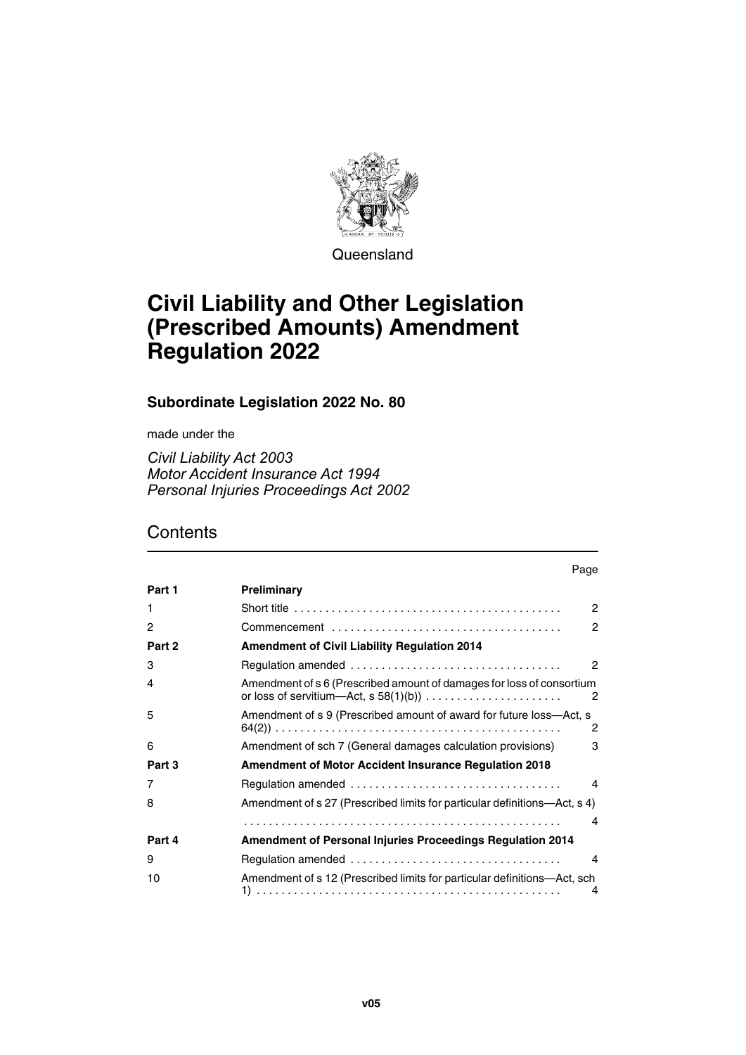

**Queensland** 

# **Civil Liability and Other Legislation (Prescribed Amounts) Amendment Regulation 2022**

**Subordinate Legislation 2022 No. 80**

made under the

*Civil Liability Act 2003 Motor Accident Insurance Act 1994 Personal Injuries Proceedings Act 2002*

### **Contents**

|        | Page                                                                                                                      |  |
|--------|---------------------------------------------------------------------------------------------------------------------------|--|
| Part 1 | Preliminary                                                                                                               |  |
| 1      | $\mathcal{P}$<br>Short title $\ldots \ldots \ldots \ldots \ldots \ldots \ldots \ldots \ldots \ldots \ldots \ldots \ldots$ |  |
| 2      | 2                                                                                                                         |  |
| Part 2 | <b>Amendment of Civil Liability Regulation 2014</b>                                                                       |  |
| 3      | $\overline{2}$                                                                                                            |  |
| 4      | Amendment of s 6 (Prescribed amount of damages for loss of consortium<br>2                                                |  |
| 5      | Amendment of s 9 (Prescribed amount of award for future loss-Act, s<br>2                                                  |  |
| 6      | Amendment of sch 7 (General damages calculation provisions)<br>3                                                          |  |
| Part 3 | <b>Amendment of Motor Accident Insurance Regulation 2018</b>                                                              |  |
| 7      | 4                                                                                                                         |  |
| 8      | Amendment of s 27 (Prescribed limits for particular definitions—Act, s 4)                                                 |  |
|        | 4                                                                                                                         |  |
| Part 4 | Amendment of Personal Injuries Proceedings Regulation 2014                                                                |  |
| 9      | 4                                                                                                                         |  |
| 10     | Amendment of s 12 (Prescribed limits for particular definitions—Act, sch.<br>4                                            |  |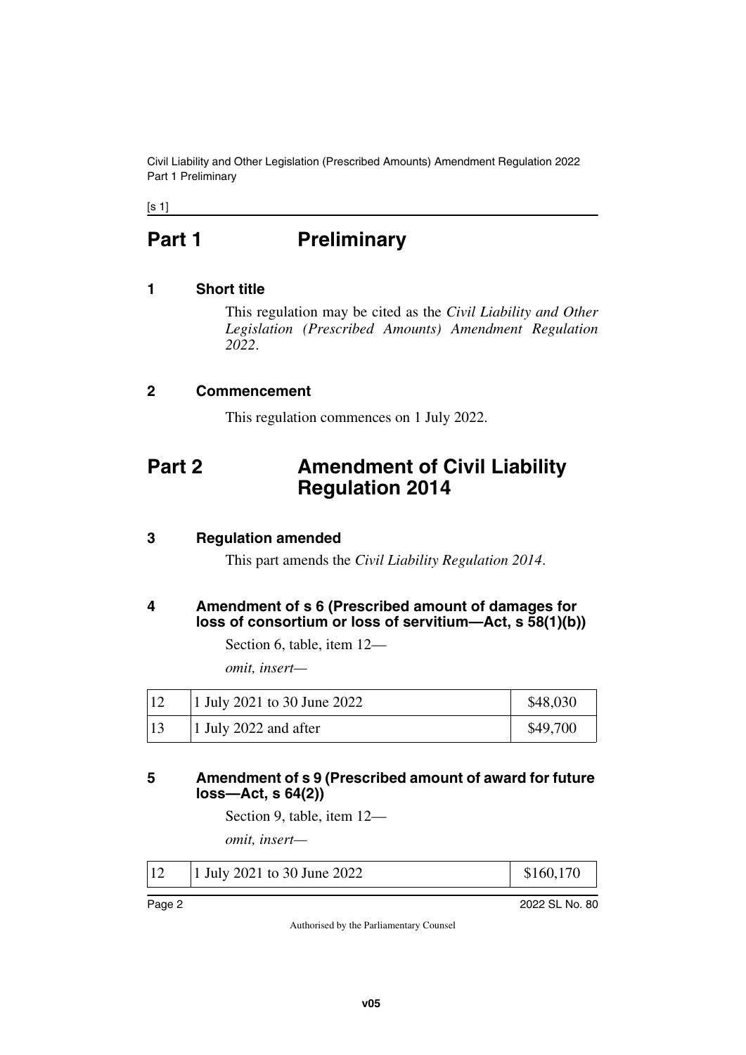Civil Liability and Other Legislation (Prescribed Amounts) Amendment Regulation 2022 Part 1 Preliminary

<span id="page-1-0"></span> $[s 1]$ 

# **Part 1** Preliminary

#### <span id="page-1-2"></span>**1 Short title**

<span id="page-1-3"></span><span id="page-1-1"></span>This regulation may be cited as the *Civil Liability and Other Legislation (Prescribed Amounts) Amendment Regulation 2022*.

#### <span id="page-1-4"></span>**2 Commencement**

<span id="page-1-7"></span><span id="page-1-5"></span>This regulation commences on 1 July 2022.

# <span id="page-1-6"></span>**Part 2 Amendment of Civil Liability Regulation 2014**

#### <span id="page-1-8"></span>**3 Regulation amended**

<span id="page-1-11"></span><span id="page-1-9"></span>This part amends the *Civil Liability Regulation 2014*.

#### <span id="page-1-10"></span>**4 Amendment of s 6 (Prescribed amount of damages for loss of consortium or loss of servitium—Act, s 58(1)(b))**

Section 6, table, item 12—

*omit, insert—*

| 1 July 2021 to 30 June 2022 | \$48,030 |
|-----------------------------|----------|
| 1 July 2022 and after       | \$49,700 |

#### <span id="page-1-13"></span><span id="page-1-12"></span>**5 Amendment of s 9 (Prescribed amount of award for future loss—Act, s 64(2))**

Section 9, table, item 12—

*omit, insert—*

| 12 | 1 July 2021 to 30 June 2022 |  |
|----|-----------------------------|--|
|    |                             |  |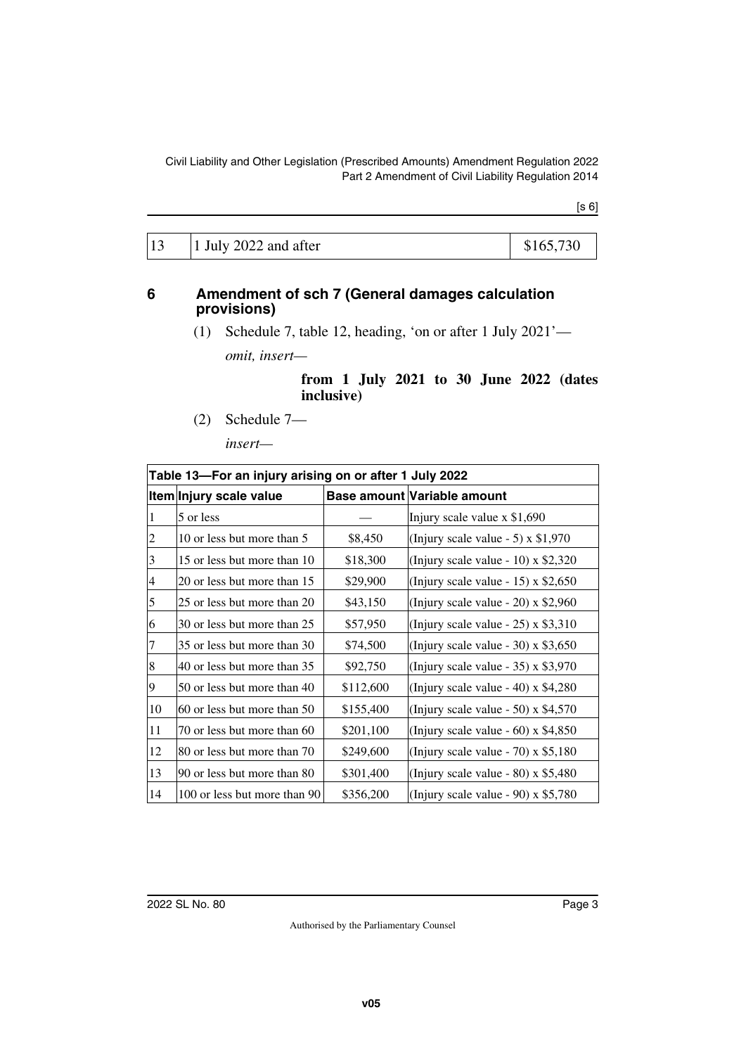[s 6]

| 13 | $1$ July 2022 and after | \$165,730 |
|----|-------------------------|-----------|
|----|-------------------------|-----------|

#### <span id="page-2-0"></span>**6 Amendment of sch 7 (General damages calculation provisions)**

<span id="page-2-1"></span>(1) Schedule 7, table 12, heading, 'on or after 1 July 2021' *omit, insert—*

> **from 1 July 2021 to 30 June 2022 (dates inclusive)**

(2) Schedule 7—

*insert—*

| Table 13-For an injury arising on or after 1 July 2022 |                              |           |                                       |  |
|--------------------------------------------------------|------------------------------|-----------|---------------------------------------|--|
|                                                        | Item Injury scale value      |           | Base amount Variable amount           |  |
| 1                                                      | 5 or less                    |           | Injury scale value $x$ \$1,690        |  |
| $\overline{c}$                                         | 10 or less but more than 5   | \$8,450   | (Injury scale value $-5$ ) x \$1,970  |  |
| 3                                                      | 15 or less but more than 10  | \$18,300  | (Injury scale value - 10) $x$ \$2,320 |  |
| $\overline{4}$                                         | 20 or less but more than 15  | \$29,900  | (Injury scale value - 15) x $$2,650$  |  |
| 5                                                      | 25 or less but more than 20  | \$43,150  | (Injury scale value - 20) $x$ \$2,960 |  |
| 6                                                      | 30 or less but more than 25  | \$57,950  | (Injury scale value $-25$ ) x \$3,310 |  |
| 7                                                      | 35 or less but more than 30  | \$74,500  | (Injury scale value - 30) $x$ \$3,650 |  |
| 8                                                      | 40 or less but more than 35  | \$92,750  | (Injury scale value $-35$ ) x \$3,970 |  |
| 9                                                      | 50 or less but more than 40  | \$112,600 | (Injury scale value - 40) x $$4,280$  |  |
| 10                                                     | 60 or less but more than 50  | \$155,400 | (Injury scale value - 50) $x$ \$4,570 |  |
| 11                                                     | 70 or less but more than 60  | \$201,100 | (Injury scale value - 60) x $$4,850$  |  |
| 12                                                     | 80 or less but more than 70  | \$249,600 | (Injury scale value - 70) $x$ \$5,180 |  |
| 13                                                     | 90 or less but more than 80  | \$301,400 | (Injury scale value - 80) $x$ \$5,480 |  |
| 14                                                     | 100 or less but more than 90 | \$356,200 | (Injury scale value - 90) $x$ \$5,780 |  |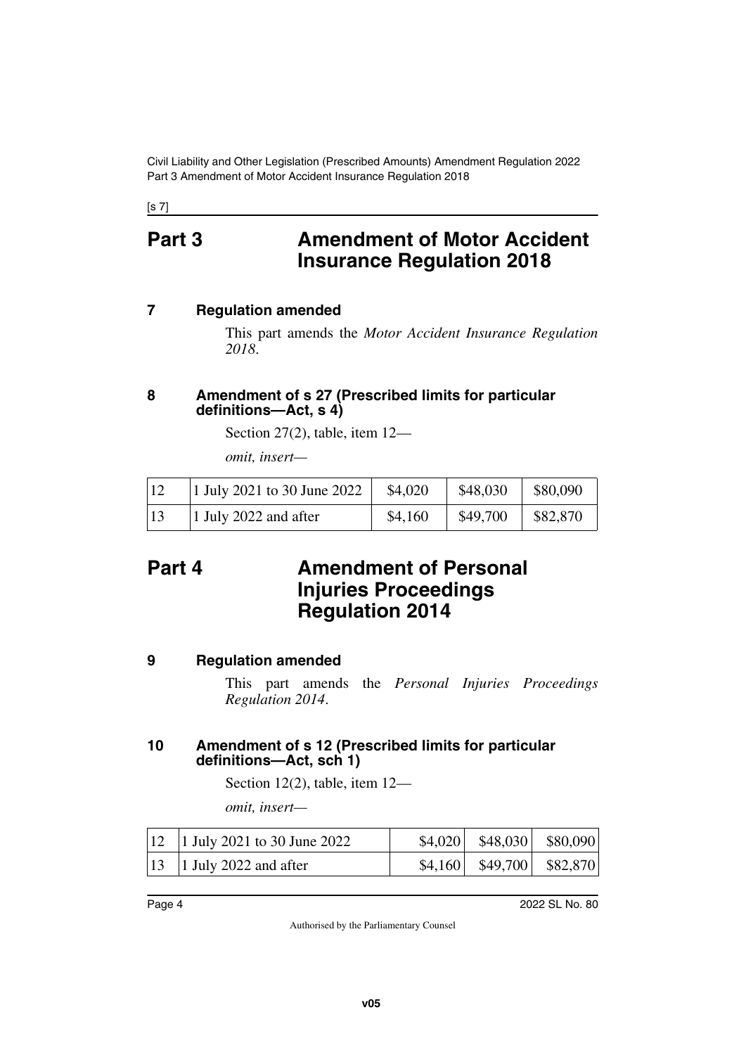Civil Liability and Other Legislation (Prescribed Amounts) Amendment Regulation 2022 Part 3 Amendment of Motor Accident Insurance Regulation 2018

<span id="page-3-0"></span>[s 7]

## **Part 3 Amendment of Motor Accident Insurance Regulation 2018**

#### <span id="page-3-2"></span>**7 Regulation amended**

<span id="page-3-3"></span><span id="page-3-1"></span>This part amends the *Motor Accident Insurance Regulation 2018*.

#### <span id="page-3-5"></span><span id="page-3-4"></span>**8 Amendment of s 27 (Prescribed limits for particular definitions—Act, s 4)**

Section 27(2), table, item 12—

<span id="page-3-7"></span>*omit, insert—*

| 12 | 1 July 2021 to 30 June 2022 | \$4,020 | \$48,030 | \$80,090 |
|----|-----------------------------|---------|----------|----------|
| 13 | 1 July 2022 and after       | \$4,160 | \$49,700 | \$82,870 |

## <span id="page-3-6"></span>**Part 4 Amendment of Personal Injuries Proceedings Regulation 2014**

### <span id="page-3-8"></span>**9 Regulation amended**

<span id="page-3-9"></span>This part amends the *Personal Injuries Proceedings Regulation 2014*.

### <span id="page-3-11"></span><span id="page-3-10"></span>**10 Amendment of s 12 (Prescribed limits for particular definitions—Act, sch 1)**

Section 12(2), table, item 12—

*omit, insert—*

| $12$   1 July 2021 to 30 June 2022 | $\vert$ \$4,020   \$48,030   \$80,090 |  |
|------------------------------------|---------------------------------------|--|
| $13$   1 July 2022 and after       | $\vert$ \$4,160   \$49,700   \$82,870 |  |